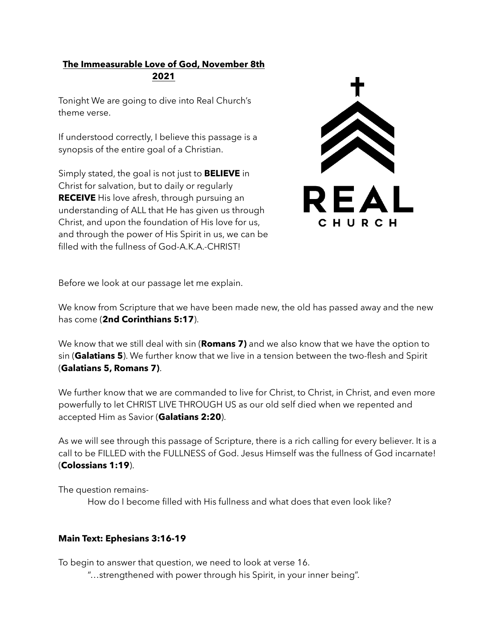## **The Immeasurable Love of God, November 8th 2021**

Tonight We are going to dive into Real Church's theme verse.

If understood correctly, I believe this passage is a synopsis of the entire goal of a Christian.

Simply stated, the goal is not just to **BELIEVE** in Christ for salvation, but to daily or regularly **RECEIVE** His love afresh, through pursuing an understanding of ALL that He has given us through Christ, and upon the foundation of His love for us, and through the power of His Spirit in us, we can be filled with the fullness of God-A.K.A.-CHRIST!



Before we look at our passage let me explain.

We know from Scripture that we have been made new, the old has passed away and the new has come (**2nd Corinthians 5:17**).

We know that we still deal with sin (**Romans 7)** and we also know that we have the option to sin (**Galatians 5**). We further know that we live in a tension between the two-flesh and Spirit (**Galatians 5, Romans 7)**.

We further know that we are commanded to live for Christ, to Christ, in Christ, and even more powerfully to let CHRIST LIVE THROUGH US as our old self died when we repented and accepted Him as Savior (**Galatians 2:20**).

As we will see through this passage of Scripture, there is a rich calling for every believer. It is a call to be FILLED with the FULLNESS of God. Jesus Himself was the fullness of God incarnate! (**Colossians 1:19**).

The question remains-

How do I become filled with His fullness and what does that even look like?

## **Main Text: Ephesians 3:16-19**

To begin to answer that question, we need to look at verse 16.

"…strengthened with power through his Spirit, in your inner being".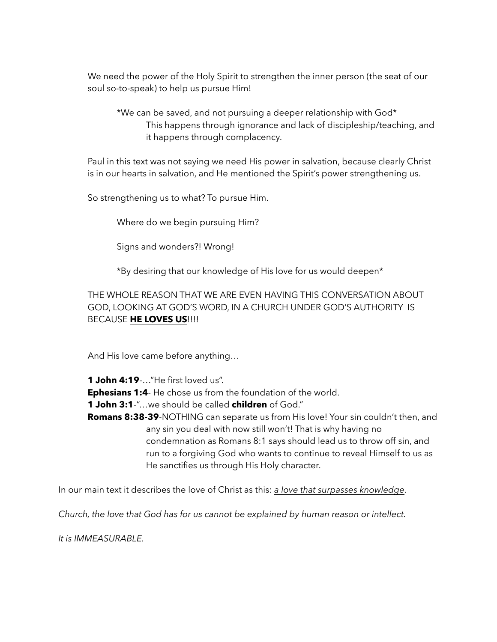We need the power of the Holy Spirit to strengthen the inner person (the seat of our soul so-to-speak) to help us pursue Him!

 \*We can be saved, and not pursuing a deeper relationship with God\* This happens through ignorance and lack of discipleship/teaching, and it happens through complacency.

 Paul in this text was not saying we need His power in salvation, because clearly Christ is in our hearts in salvation, and He mentioned the Spirit's power strengthening us.

So strengthening us to what? To pursue Him.

Where do we begin pursuing Him?

Signs and wonders?! Wrong!

\*By desiring that our knowledge of His love for us would deepen\*

 THE WHOLE REASON THAT WE ARE EVEN HAVING THIS CONVERSATION ABOUT GOD, LOOKING AT GOD'S WORD, IN A CHURCH UNDER GOD'S AUTHORITY IS BECAUSE **HE LOVES US**!!!!

And His love came before anything…

**1 John 4:19**-…"He first loved us".

**Ephesians 1:4**- He chose us from the foundation of the world.

**1 John 3:1**-"…we should be called **children** of God."

**Romans 8:38-39**-NOTHING can separate us from His love! Your sin couldn't then, and any sin you deal with now still won't! That is why having no condemnation as Romans 8:1 says should lead us to throw off sin, and run to a forgiving God who wants to continue to reveal Himself to us as He sanctifies us through His Holy character.

In our main text it describes the love of Christ as this: *a love that surpasses knowledge*.

*Church, the love that God has for us cannot be explained by human reason or intellect.* 

*It is IMMEASURABLE.*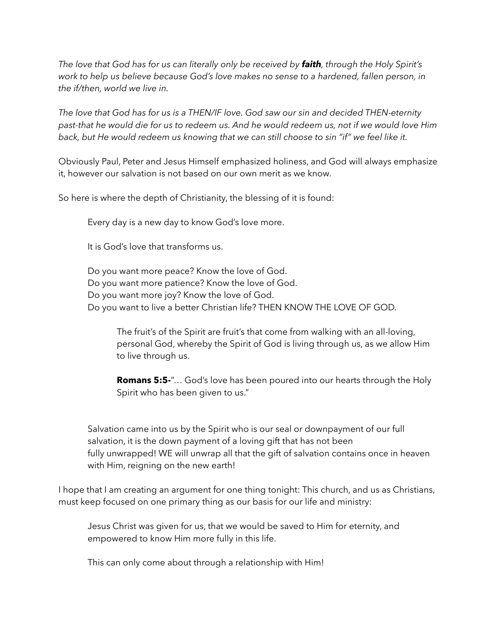*The love that God has for us can literally only be received by faith, through the Holy Spirit's work to help us believe because God's love makes no sense to a hardened, fallen person, in the if/then, world we live in.* 

*The love that God has for us is a THEN/IF love. God saw our sin and decided THEN-eternity past-that he would die for us to redeem us. And he would redeem us, not if we would love Him back, but He would redeem us knowing that we can still choose to sin "if" we feel like it.* 

Obviously Paul, Peter and Jesus Himself emphasized holiness, and God will always emphasize it, however our salvation is not based on our own merit as we know.

So here is where the depth of Christianity, the blessing of it is found:

Every day is a new day to know God's love more.

It is God's love that transforms us.

 Do you want more peace? Know the love of God. Do you want more patience? Know the love of God. Do you want more joy? Know the love of God. Do you want to live a better Christian life? THEN KNOW THE LOVE OF GOD.

 The fruit's of the Spirit are fruit's that come from walking with an all-loving, personal God, whereby the Spirit of God is living through us, as we allow Him to live through us.

 **Romans 5:5-**"… God's love has been poured into our hearts through the Holy Spirit who has been given to us."

 Salvation came into us by the Spirit who is our seal or downpayment of our full salvation, it is the down payment of a loving gift that has not been fully unwrapped! WE will unwrap all that the gift of salvation contains once in heaven with Him, reigning on the new earth!

I hope that I am creating an argument for one thing tonight: This church, and us as Christians, must keep focused on one primary thing as our basis for our life and ministry:

 Jesus Christ was given for us, that we would be saved to Him for eternity, and empowered to know Him more fully in this life.

This can only come about through a relationship with Him!